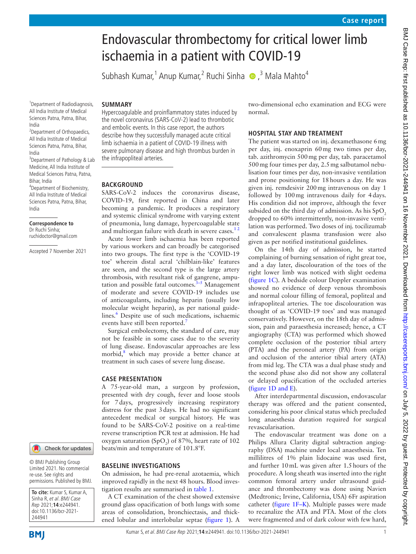# Endovascular thrombectomy for critical lower limb ischaemia in a patient with COVID-19

Subhash Kumar,<sup>1</sup> Anup Kumar,<sup>2</sup> Ruchi Sinha (D,<sup>3</sup> Mala Mahto<sup>4</sup>

## **SUMMARY**

Hypercoagulable and proinflammatory states induced by the novel coronavirus (SARS-CoV-2) lead to thrombotic and embolic events. In this case report, the authors describe how they successfully managed acute critical limb ischaemia in a patient of COVID-19 illness with severe pulmonary disease and high thrombus burden in the infrapopliteal arteries.

## **BACKGROUND**

SARS-CoV-2 induces the coronavirus disease, COVID-19, first reported in China and later becoming a pandemic. It produces a respiratory and systemic clinical syndrome with varying extent of pneumonia, lung damage, hypercoagulable state and multiorgan failure with death in severe cases.<sup>12</sup>

Acute lower limb ischaemia has been reported by various workers and can broadly be categorised into two groups. The first type is the 'COVID-19 toe' wherein distal acral 'chilblain-like' features are seen, and the second type is the large artery thrombosis, with resultant risk of gangrene, amputation and possible fatal outcomes. $3-5$  Management of moderate and severe COVID-19 includes use of anticoagulants, including heparin (usually low molecular weight heparin), as per national guide-lines.<sup>[6](#page-3-2)</sup> Despite use of such medications, ischaemic events have still been reported.<sup>7</sup>

Surgical embolectomy, the standard of care, may not be feasible in some cases due to the severity of lung disease. Endovascular approaches are less morbid,<sup>[8](#page-3-4)</sup> which may provide a better chance at treatment in such cases of severe lung disease.

## **CASE PRESENTATION**

A 75-year-old man, a surgeon by profession, presented with dry cough, fever and loose stools for 7days, progressively increasing respiratory distress for the past 3days. He had no significant antecedent medical or surgical history. He was found to be SARS-CoV-2 positive on a real-time reverse transcription PCR test at admission. He had oxygen saturation (SpO<sub>2</sub>) of 87%, heart rate of 102 beats/min and temperature of 101.8°F.

#### **BASELINE INVESTIGATIONS**

On admission, he had pre-renal azotaemia, which improved rapidly in the next 48 hours. Blood investigation results are summarised in [table](#page-1-0) 1.

A CT examination of the chest showed extensive ground glass opacification of both lungs with some areas of consolidation, bronchiectasis, and thickened lobular and interlobular septae ([figure](#page-2-0) 1). A two-dimensional echo examination and ECG were normal.

### **HOSPITAL STAY AND TREATMENT**

The patient was started on inj. dexamethasone 6mg per day, inj. enoxaprin 60mg two times per day, tab. azithromycin 500mg per day, tab. paracetamol 500mg four times per day, 2.5mg salbutamol nebulisation four times per day, non-invasive ventilation and prone positioning for 18hours a day. He was given inj. remdesivir 200mg intravenous on day 1 followed by 100mg intravenous daily for 4days. His condition did not improve, although the fever subsided on the third day of admission. As his  $SpO<sub>2</sub>$ dropped to 60% intermittently, non-invasive ventilation was performed. Two doses of inj. tocilizumab and convalescent plasma transfusion were also given as per notified institutional guidelines.

On the 14th day of admission, he started complaining of burning sensation of right great toe, and a day later, discolouration of the toes of the right lower limb was noticed with slight oedema ([figure](#page-2-0) 1C). A bedside colour Doppler examination showed no evidence of deep venous thrombosis and normal colour filling of femoral, popliteal and infrapopliteal arteries. The toe discolouration was thought of as 'COVID-19 toes' and was managed conservatively. However, on the 18th day of admission, pain and paraesthesia increased; hence, a CT angiography (CTA) was performed which showed complete occlusion of the posterior tibial artery (PTA) and the peroneal artery (PA) from origin and occlusion of the anterior tibial artery (ATA) from mid leg. The CTA was a dual phase study and the second phase also did not show any collateral or delayed opacification of the occluded arteries (figure [1D and E](#page-2-0)).

After interdepartmental discussion, endovascular therapy was offered and the patient consented, considering his poor clinical status which precluded long anaesthesia duration required for surgical revascularisation.

The endovascular treatment was done on a Philips Allura Clarity digital subtraction angiography (DSA) machine under local anaesthesia. Ten millilitres of 1% plain lidocaine was used first, and further 10mL was given after 1.5hours of the procedure. A long sheath was inserted into the right common femoral artery under ultrasound guidance and thrombectomy was done using Navien (Medtronic; Irvine, California, USA) 6Fr aspiration catheter ([figure](#page-2-0) 1F–K). Multiple passes were made to recanalize the ATA and PTA. Most of the clots were fragmented and of dark colour with few hard,

1 Department of Radiodiagnosis, All India Institute of Medical Sciences Patna, Patna, Bihar, India

<sup>2</sup> Department of Orthopaedics, All India Institute of Medical Sciences Patna, Patna, Bihar, India

<sup>3</sup>Department of Pathology & Lab Medicine, All India Institute of Medical Sciences Patna, Patna, Bihar, India

4 Department of Biochemistry, All India Institute of Medical Sciences Patna, Patna, Bihar, India

#### **Correspondence to** Dr Ruchi Sinha; ruchidoctor@gmail.com

Accepted 7 November 2021



© BMJ Publishing Group Limited 2021. No commercial re-use. See rights and permissions. Published by BMJ.

**To cite:** Kumar S, Kumar A, Sinha R, et al. BMJ Case Rep 2021;**14**:e244941. doi:10.1136/bcr-2021- 244941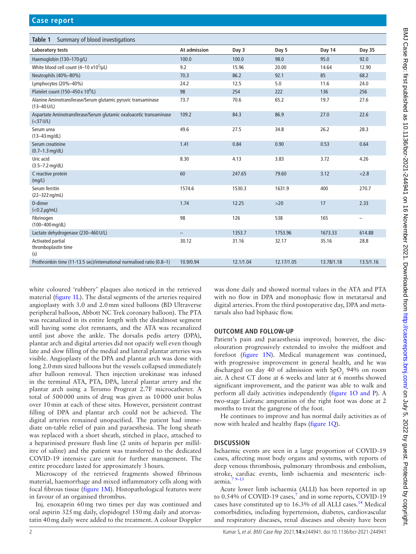<span id="page-1-0"></span>

| Summary of blood investigations<br>Table 1                                                             |                          |           |            |            |           |
|--------------------------------------------------------------------------------------------------------|--------------------------|-----------|------------|------------|-----------|
| Laboratory tests                                                                                       | At admission             | Day 3     | Day 5      | Day 14     | Day 35    |
| Haemoglobin (130-170 g/L)                                                                              | 100.0                    | 100.0     | 98.0       | 95.0       | 92.0      |
| White blood cell count $(4-10 \times 10^3/\mu L)$                                                      | 9.2                      | 15.96     | 20.00      | 14.64      | 12.90     |
| Neutrophils (40%-80%)                                                                                  | 70.3                     | 86.2      | 92.1       | 85         | 68.2      |
| Lymphocytes (20%-40%)                                                                                  | 24.2                     | 12.5      | 5.0        | 11.6       | 24.0      |
| Platelet count (150-450 x 10 <sup>9</sup> /L)                                                          | 98                       | 254       | 222        | 136        | 256       |
| Alanine Aminotransferase/Serum glutamic pyruvic transaminase<br>$(13 - 40 \text{ U/L})$                | 73.7                     | 70.6      | 65.2       | 19.7       | 27.6      |
| Aspartate Aminotransferase/Serum glutamic oxaloacetic transaminase<br>( <sub>37</sub> <sub>U/L</sub> ) | 109.2                    | 84.3      | 86.9       | 27.0       | 22.6      |
| Serum urea<br>$(13 - 43 \text{ mg/dL})$                                                                | 49.6                     | 27.5      | 34.8       | 26.2       | 28.3      |
| Serum creatinine<br>$(0.7 - 1.3$ mg/dL)                                                                | 1.41                     | 0.84      | 0.90       | 0.53       | 0.64      |
| Uric acid<br>$(3.5 - 7.2 \text{ mg/dL})$                                                               | 8.30                     | 4.13      | 3.83       | 3.72       | 4.26      |
| C reactive protein<br>(mg/L)                                                                           | 60                       | 247.65    | 79.60      | 3.12       | < 2.8     |
| Serum ferritin<br>$(22 - 322)$ ng/mL)                                                                  | 1574.6                   | 1530.3    | 1631.9     | 400        | 270.7     |
| D-dimer<br>$(<0.2 \mu g/mL)$                                                                           | 1.74                     | 12.25     | $>20$      | 17         | 2.33      |
| Fibrinogen<br>(100-400 mg/dL)                                                                          | 98                       | 126       | 538        | 165        | -         |
| Lactate dehydrogenase (230-460 U/L)                                                                    | $\overline{\phantom{0}}$ | 1353.7    | 1753.96    | 1673.33    | 614.88    |
| Activated partial<br>thromboplastin time<br>(s)                                                        | 30.12                    | 31.16     | 32.17      | 35.16      | 28.8      |
| Prothrombin time (11-13.5 sec)/international normalised ratio (0.8-1)                                  | 10.9/0.94                | 12.1/1.04 | 12.17/1.05 | 13.78/1.18 | 13.5/1.16 |

white coloured 'rubbery' plaques also noticed in the retrieved material ([figure](#page-2-0) 1L). The distal segments of the arteries required angioplasty with 3.0 and 2.0mm sized balloons (BD Ultraverse peripheral balloon, Abbott NC Trek coronary balloon). The PTA was recanalized in its entire length with the distalmost segment still having some clot remnants, and the ATA was recanalized until just above the ankle. The dorsalis pedis artery (DPA), plantar arch and digital arteries did not opacify well even though late and slow filling of the medial and lateral plantar arteries was visible. Angioplasty of the DPA and plantar arch was done with long 2.0mm sized balloons but the vessels collapsed immediately after balloon removal. Then injection urokinase was infused in the terminal ATA, PTA, DPA, lateral plantar artery and the plantar arch using a Terumo Progreat 2.7F microcatheter. A total of 500000 units of drug was given as 10000 unit bolus over 10min at each of these sites. However, persistent contrast filling of DPA and plantar arch could not be achieved. The digital arteries remained unopacified. The patient had immediate on-table relief of pain and paraesthesia. The long sheath was replaced with a short sheath, stitched in place, attached to a heparinised pressure flush line (2 units of heparin per millilitre of saline) and the patient was transferred to the dedicated COVID-19 intensive care unit for further management. The entire procedure lasted for approximately 3hours.

Microscopy of the retrieved fragments showed fibrinous material, haemorrhage and mixed inflammatory cells along with focal fibrous tissue [\(figure](#page-2-0) 1M). Histopathological features were in favour of an organised thrombus.

Inj. enoxaprin 60mg two times per day was continued and oral aspirin 325mg daily, clopidogrel 150mg daily and atorvastatin 40mg daily were added to the treatment. A colour Doppler was done daily and showed normal values in the ATA and PTA with no flow in DPA and monophasic flow in metatarsal and digital arteries. From the third postoperative day, DPA and metatarsals also had biphasic flow.

# **OUTCOME AND FOLLOW-UP**

Patient's pain and paraesthesia improved; however, the discolouration progressively extended to involve the midfoot and forefoot [\(figure](#page-2-0) 1N). Medical management was continued, with progressive improvement in general health, and he was discharged on day 40 of admission with  $SpO<sub>2</sub>$  94% on room air. A chest CT done at 6 weeks and later at 6 months showed significant improvement, and the patient was able to walk and perform all daily activities independently (figure [1O and P](#page-2-0)). A two-stage Lisfranc amputation of the right foot was done at 2 months to treat the gangrene of the foot.

He continues to improve and has normal daily activities as of now with healed and healthy flaps [\(figure](#page-2-0) 1Q).

# **DISCUSSION**

Ischaemic events are seen in a large proportion of COVID-19 cases, affecting most body organs and systems, with reports of deep venous thrombosis, pulmonary thrombosis and embolism, stroke, cardiac events, limb ischaemia and mesenteric ischaemia.[7 9–13](#page-3-3)

Acute lower limb ischaemia (ALLI) has been reported in up to  $0.54\%$  of COVID-19 cases,<sup>[7](#page-3-3)</sup> and in some reports, COVID-19 cases have constituted up to 16.3% of all ALLI cases.<sup>[14](#page-3-5)</sup> Medical comorbidities, including hypertension, diabetes, cardiovascular and respiratory diseases, renal diseases and obesity have been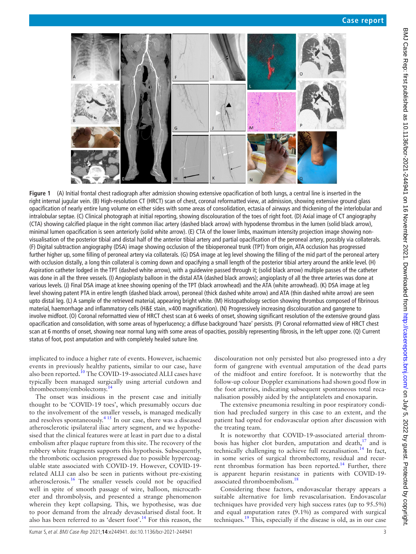

<span id="page-2-0"></span>**Figure 1** (A) Initial frontal chest radiograph after admission showing extensive opacification of both lungs, a central line is inserted in the right internal jugular vein. (B) High-resolution CT (HRCT) scan of chest, coronal reformatted view, at admission, showing extensive ground glass opacification of nearly entire lung volume on either sides with some areas of consolidation, ectasia of airways and thickening of the interlobular and intralobular septae. (C) Clinical photograph at initial reporting, showing discolouration of the toes of right foot. (D) Axial image of CT angiography (CTA) showing calcified plaque in the right common iliac artery (dashed black arrow) with hypodense thrombus in the lumen (solid black arrow), minimal lumen opacification is seen anteriorly (solid white arrow). (E) CTA of the lower limbs, maximum intensity projection image showing nonvisualisation of the posterior tibial and distal half of the anterior tibial artery and partial opacification of the peroneal artery, possibly via collaterals. (F) Digital subtraction angiography (DSA) image showing occlusion of the tibioperoneal trunk (TPT) from origin, ATA occlusion has progressed further higher up, some filling of peroneal artery via collaterals. (G) DSA image at leg level showing the filling of the mid part of the peroneal artery with occlusion distally, a long thin collateral is coming down and opacifying a small length of the posterior tibial artery around the ankle level. (H) Aspiration catheter lodged in the TPT (dashed white arrow), with a guidewire passed through it; (solid black arrow) multiple passes of the catheter was done in all the three vessels. (I) Angioplasty balloon in the distal ATA (dashed black arrows); angioplasty of all the three arteries was done at various levels. (J) Final DSA image at knee showing opening of the TPT (black arrowhead) and the ATA (white arrowhead). (K) DSA image at leg level showing patent PTA in entire length (dashed black arrow), peroneal (thick dashed white arrow) and ATA (thin dashed white arrow) are seen upto distal leg. (L) A sample of the retrieved material, appearing bright white. (M) Histopathology section showing thrombus composed of fibrinous material, haemorrhage and inflammatory cells (H&E stain, ×400 magnification). (N) Progressively increasing discolouration and gangrene to involve midfoot. (O) Coronal reformatted view of HRCT chest scan at 6 weeks of onset, showing significant resolution of the extensive ground glass opacification and consolidation, with some areas of hyperlucency; a diffuse background 'haze' persists. (P) Coronal reformatted view of HRCT chest scan at 6 months of onset, showing near normal lung with some areas of opacities, possibly representing fibrosis, in the left upper zone. (Q) Current status of foot, post amputation and with completely healed suture line.

implicated to induce a higher rate of events. However, ischaemic events in previously healthy patients, similar to our case, have also been reported.<sup>10</sup> The COVID-19-associated ALLI cases have typically been managed surgically using arterial cutdown and thrombectomy/embolectomy.<sup>1</sup>

The onset was insidious in the present case and initially thought to be 'COVID-19 toes', which presumably occurs due to the involvement of the smaller vessels, is managed medically and resolves spontaneously.<sup>415</sup> In our case, there was a diseased atherosclerotic ipsilateral iliac artery segment, and we hypothesised that the clinical features were at least in part due to a distal embolism after plaque rupture from this site. The recovery of the rubbery white fragments supports this hypothesis. Subsequently, the thrombotic occlusion progressed due to possible hypercoagulable state associated with COVID-19. However, COVID-19 related ALLI can also be seen in patients without pre-existing atherosclerosis[.16](#page-3-8) The smaller vessels could not be opacified well in spite of smooth passage of wire, balloon, microcatheter and thrombolysis, and presented a strange phenomenon wherein they kept collapsing. This, we hypothesise, was due to poor demand from the already devascularised distal foot. It also has been referred to as 'desert foot'.[14](#page-3-5) For this reason, the

discolouration not only persisted but also progressed into a dry form of gangrene with eventual amputation of the dead parts of the midfoot and entire forefoot. It is noteworthy that the follow-up colour Doppler examinations had shown good flow in the foot arteries, indicating subsequent spontaneous total recanalisation possibly aided by the antiplatelets and enoxaparin.

The extensive pneumonia resulting in poor respiratory condition had precluded surgery in this case to an extent, and the patient had opted for endovascular option after discussion with the treating team.

It is noteworthy that COVID-19-associated arterial thrombosis has higher clot burden, amputation and death, $17$  and is technically challenging to achieve full recanalisation.<sup>[14](#page-3-5)</sup> In fact, in some series of surgical thrombectomy, residual and recurrent thrombus formation has been reported.<sup>14</sup> Further, there is apparent heparin resistance in patients with COVID-19 associated thromboembolism.<sup>18</sup>

Considering these factors, endovascular therapy appears a suitable alternative for limb revascularisation. Endovascular techniques have provided very high success rates (up to 95.5%) and equal amputation rates (9.1%) as compared with surgical techniques[.19](#page-3-11) This, especially if the disease is old, as in our case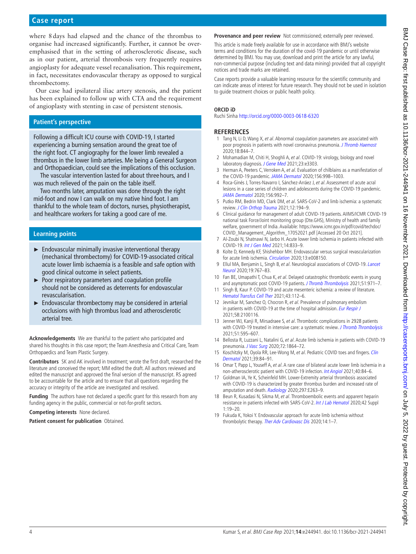# **Case report**

where 8days had elapsed and the chance of the thrombus to organise had increased significantly. Further, it cannot be overemphasised that in the setting of atherosclerotic disease, such as in our patient, arterial thrombosis very frequently requires angioplasty for adequate vessel recanalisation. This requirement, in fact, necessitates endovascular therapy as opposed to surgical thrombectomy.

Our case had ipsilateral iliac artery stenosis, and the patient has been explained to follow up with CTA and the requirement of angioplasty with stenting in case of persistent stenosis.

## **Patient's perspective**

Following a difficult ICU course with COVID-19, I started experiencing a burning sensation around the great toe of the right foot. CT angiography for the lower limb revealed a thrombus in the lower limb arteries. Me being a General Surgeon and Orthopaedician, could see the implications of this occlusion.

The vascular intervention lasted for about three hours, and I was much relieved of the pain on the table itself.

Two months later, amputation was done through the right mid-foot and now I can walk on my native hind foot. I am thankful to the whole team of doctors, nurses, physiotherapist, and healthcare workers for taking a good care of me.

## **Learning points**

- ► Endovascular minimally invasive interventional therapy (mechanical thrombectomy) for COVID-19-associated critical acute lower limb ischaemia is a feasible and safe option with good clinical outcome in select patients.
- ► Poor respiratory parameters and coagulation profile should not be considered as deterrents for endovascular revascularisation.
- ► Endovascular thrombectomy may be considered in arterial occlusions with high thrombus load and atherosclerotic arterial tree.

**Acknowledgements** We are thankful to the patient who participated and shared his thoughts in this case report; the Team Anesthesia and Critical Care, Team Orthopaedics and Team Plastic Surgery.

**Contributors** SK and AK involved in treatment; wrote the first draft, researched the literature and conceived the report; MM edited the draft. All authors reviewed and edited the manuscript and approved the final version of the manuscript. RS agreed to be accountable for the article and to ensure that all questions regarding the accuracy or integrity of the article are investigated and resolved.

**Funding** The authors have not declared a specific grant for this research from any funding agency in the public, commercial or not-for-profit sectors.

**Competing interests** None declared.

**Patient consent for publication** Obtained.

**Provenance and peer review** Not commissioned; externally peer reviewed.

This article is made freely available for use in accordance with BMJ's website terms and conditions for the duration of the covid-19 pandemic or until otherwise determined by BMJ. You may use, download and print the article for any lawful, non-commercial purpose (including text and data mining) provided that all copyright notices and trade marks are retained.

Case reports provide a valuable learning resource for the scientific community and can indicate areas of interest for future research. They should not be used in isolation to guide treatment choices or public health policy.

#### **ORCID iD**

Ruchi Sinha <http://orcid.org/0000-0003-0618-6320>

#### **REFERENCES**

- <span id="page-3-0"></span>1 Tang N, Li D, Wang X, et al. Abnormal coagulation parameters are associated with poor prognosis in patients with novel coronavirus pneumonia. [J Thromb Haemost](http://dx.doi.org/10.1111/jth.14768) 2020;18:844–7.
- 2 Mohamadian M, Chiti H, Shoghli A, et al. COVID-19: virology, biology and novel laboratory diagnosis. [J Gene Med](http://dx.doi.org/10.1002/jgm.3303) 2021;23:e3303.
- <span id="page-3-1"></span>3 Herman A, Peeters C, Verroken A, et al. Evaluation of chilblains as a manifestation of the COVID-19 pandemic. [JAMA Dermatol](http://dx.doi.org/10.1001/jamadermatol.2020.2368) 2020;156:998-1003.
- <span id="page-3-7"></span>4 Roca-Ginés J, Torres-Navarro I, Sánchez-Arráez J, et al. Assessment of acute acral lesions in a case series of children and adolescents during the COVID-19 pandemic. [JAMA Dermatol](http://dx.doi.org/10.1001/jamadermatol.2020.2340) 2020;156:992–7.
- 5 Putko RM, Bedrin MD, Clark DM, et al. SARS-CoV-2 and limb ischemia: a systematic review. [J Clin Orthop Trauma](http://dx.doi.org/10.1016/j.jcot.2020.11.018) 2021;12:194-9.
- <span id="page-3-2"></span>6 Clinical guidance for management of adult COVID-19 patients. AIIMS/ICMR COVID-19 national task Force/Joint monitoring group (Dte.GHS), Ministry of health and family welfare, government of India. Available: [https://www.icmr.gov.in/pdf/covid/techdoc/](https://www.icmr.gov.in/pdf/covid/techdoc/COVID_Management_Algorithm_17052021.pdf) [COVID\\_Management\\_Algorithm\\_17052021.pdf](https://www.icmr.gov.in/pdf/covid/techdoc/COVID_Management_Algorithm_17052021.pdf) [Accessed 20 Oct 2021].
- <span id="page-3-3"></span>7 Al-Zoubi N, Shatnawi N, Jarbo H. Acute lower limb ischemia in patients infected with COVID-19. [Int J Gen Med](http://dx.doi.org/10.2147/IJGM.S301462) 2021;14:833–9.
- <span id="page-3-4"></span>8 Kolte D, Kennedy KF, Shishehbor MH. Endovascular versus surgical revascularization for acute limb ischemia. [Circulation](http://dx.doi.org/10.1161/CIRCINTERVENTIONS.119.008150) 2020;13:e008150.
- 9 Ellul MA, Benjamin L, Singh B, et al. Neurological associations of COVID-19. Lancet [Neurol](http://dx.doi.org/10.1016/S1474-4422(20)30221-0) 2020;19:767–83.
- <span id="page-3-6"></span>10 Fan BE, Umapathi T, Chua K, et al. Delayed catastrophic thrombotic events in young and asymptomatic post COVID-19 patients. [J Thromb Thrombolysis](http://dx.doi.org/10.1007/s11239-020-02332-z) 2021;51:971-7.
- 11 Singh B, Kaur P. COVID-19 and acute mesenteric ischemia: a review of literature. [Hematol Transfus Cell Ther](http://dx.doi.org/10.1016/j.htct.2020.10.959) 2021;43:112–6.
- 12 Jevnikar M, Sanchez O, Chocron R, et al. Prevalence of pulmonary embolism in patients with COVID-19 at the time of hospital admission. [Eur Respir J](http://dx.doi.org/10.1183/13993003.00116-2021) 2021;58:2100116.
- 13 Jenner WJ, Kanji R, Mirsadraee S, et al. Thrombotic complications in 2928 patients with COVID-19 treated in intensive care: a systematic review. [J Thromb Thrombolysis](http://dx.doi.org/10.1007/s11239-021-02394-7) 2021;51:595–607.
- <span id="page-3-5"></span>14 Bellosta R, Luzzani L, Natalini G, et al. Acute limb ischemia in patients with COVID-19 pneumonia. [J Vasc Surg](http://dx.doi.org/10.1016/j.jvs.2020.04.483) 2020;72:1864–72.
- 15 Koschitzky M, Oyola RR, Lee-Wong M, et al. Pediatric COVID toes and fingers. Clin [Dermatol](http://dx.doi.org/10.1016/j.clindermatol.2020.12.016) 2021;39:84–91.
- <span id="page-3-8"></span>16 Omar T, Papp L, Youseff A, et al. A rare case of bilateral acute lower limb ischemia in a non-atherosclerotic patient with COVID-19 infection. [Int Angiol](http://dx.doi.org/10.23736/S0392-9590.20.04461-2) 2021;40:84–6.
- <span id="page-3-9"></span>17 Goldman IA, Ye K, Scheinfeld MH. Lower-Extremity arterial thrombosis associated with COVID-19 is characterized by greater thrombus burden and increased rate of amputation and death. [Radiology](http://dx.doi.org/10.1148/radiol.2020202348) 2020;297:E263-9.
- <span id="page-3-10"></span>18 Beun R, Kusadasi N, Sikma M, et al. Thromboembolic events and apparent heparin resistance in patients infected with SARS-CoV-2. [Int J Lab Hematol](http://dx.doi.org/10.1111/ijlh.13230) 2020;42 Suppl  $1:19-20.$
- <span id="page-3-11"></span>19 Fukuda K, Yokoi Y. Endovascular approach for acute limb ischemia without thrombolytic therapy. [Ther Adv Cardiovasc Dis](http://dx.doi.org/10.1177/1753944720924575) 2020;14:1-7.